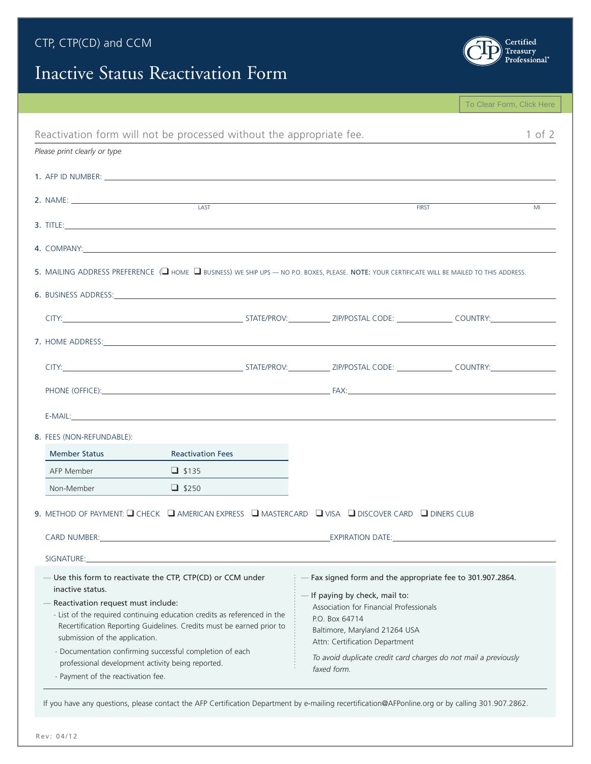### CTP, CTP(CD) and CCM

# Inactive Status Reactivation Form



|                                                                                                                                                                                                                                |                                                                                                                                                                                                                               | To Clear Form, Click Here |
|--------------------------------------------------------------------------------------------------------------------------------------------------------------------------------------------------------------------------------|-------------------------------------------------------------------------------------------------------------------------------------------------------------------------------------------------------------------------------|---------------------------|
| Reactivation form will not be processed without the appropriate fee.                                                                                                                                                           |                                                                                                                                                                                                                               | $1$ of $2$                |
| Please print clearly or type                                                                                                                                                                                                   |                                                                                                                                                                                                                               |                           |
|                                                                                                                                                                                                                                |                                                                                                                                                                                                                               |                           |
| 2. NAME:                                                                                                                                                                                                                       |                                                                                                                                                                                                                               |                           |
| 3. TITLE: $\Box$                                                                                                                                                                                                               | <b>FIRST</b>                                                                                                                                                                                                                  | M <sub>l</sub>            |
| 4. COMPANY: A COMPANY COMPANY COMPANY COMPANY COMPANY COMPANY COMPANY COMPANY COMPANY COMPANY COMPANY COMPANY COMPANY COMPANY COMPANY COMPANY COMPANY COMPANY COMPANY COMPANY COMPANY COMPANY COMPANY COMPANY COMPANY COMPANY  |                                                                                                                                                                                                                               |                           |
| 5. MAILING ADDRESS PREFERENCE ( UHOME I BUSINESS) WE SHIP UPS - NO P.O. BOXES, PLEASE. NOTE: YOUR CERTIFICATE WILL BE MAILED TO THIS ADDRESS.                                                                                  |                                                                                                                                                                                                                               |                           |
| 6. BUSINESS ADDRESS: North and the contract of the contract of the contract of the contract of the contract of the contract of the contract of the contract of the contract of the contract of the contract of the contract of |                                                                                                                                                                                                                               |                           |
|                                                                                                                                                                                                                                |                                                                                                                                                                                                                               |                           |
|                                                                                                                                                                                                                                |                                                                                                                                                                                                                               |                           |
|                                                                                                                                                                                                                                |                                                                                                                                                                                                                               |                           |
|                                                                                                                                                                                                                                |                                                                                                                                                                                                                               |                           |
|                                                                                                                                                                                                                                |                                                                                                                                                                                                                               |                           |
| 8. FEES (NON-REFUNDABLE):                                                                                                                                                                                                      |                                                                                                                                                                                                                               |                           |
| <b>Member Status</b><br><b>Reactivation Fees</b>                                                                                                                                                                               |                                                                                                                                                                                                                               |                           |
| AFP Member<br>$\Box$ \$135                                                                                                                                                                                                     |                                                                                                                                                                                                                               |                           |
| $\Box$ \$250<br>Non-Member                                                                                                                                                                                                     |                                                                                                                                                                                                                               |                           |
| 9. METHOD OF PAYMENT: $\Box$ CHECK $\Box$ AMERICAN EXPRESS $\Box$ MASTERCARD $\Box$ VISA $\Box$ DISCOVER CARD $\Box$ DINERS CLUB                                                                                               |                                                                                                                                                                                                                               |                           |
| CARD NUMBER: New York State And the Care of the Care of the Care of the Care of the Care of the Care of the Care of the Care of the Care of the Care of the Care of the Care of the Care of the Care of the Care of the Care o | EXPIRATION DATE: The contract of the contract of the contract of the contract of the contract of the contract of the contract of the contract of the contract of the contract of the contract of the contract of the contract |                           |
| SIGNATURE:                                                                                                                                                                                                                     |                                                                                                                                                                                                                               |                           |
| — Use this form to reactivate the CTP, CTP(CD) or CCM under<br>inactive status.                                                                                                                                                | - Fax signed form and the appropriate fee to 301.907.2864.                                                                                                                                                                    |                           |
| - Reactivation request must include:                                                                                                                                                                                           | If paying by check, mail to:                                                                                                                                                                                                  |                           |
| - List of the required continuing education credits as referenced in the                                                                                                                                                       | Association for Financial Professionals<br>P.O. Box 64714                                                                                                                                                                     |                           |
| Recertification Reporting Guidelines. Credits must be earned prior to                                                                                                                                                          | Baltimore, Maryland 21264 USA                                                                                                                                                                                                 |                           |
| submission of the application.                                                                                                                                                                                                 | Attn: Certification Department                                                                                                                                                                                                |                           |
| - Documentation confirming successful completion of each<br>professional development activity being reported.                                                                                                                  | To avoid duplicate credit card charges do not mail a previously                                                                                                                                                               |                           |
| - Payment of the reactivation fee.                                                                                                                                                                                             | faxed form.                                                                                                                                                                                                                   |                           |
|                                                                                                                                                                                                                                |                                                                                                                                                                                                                               |                           |

If you have any questions, please contact the AFP Certification Department by e-mailing recertification@AFPonline.org or by calling 301.907.2862.